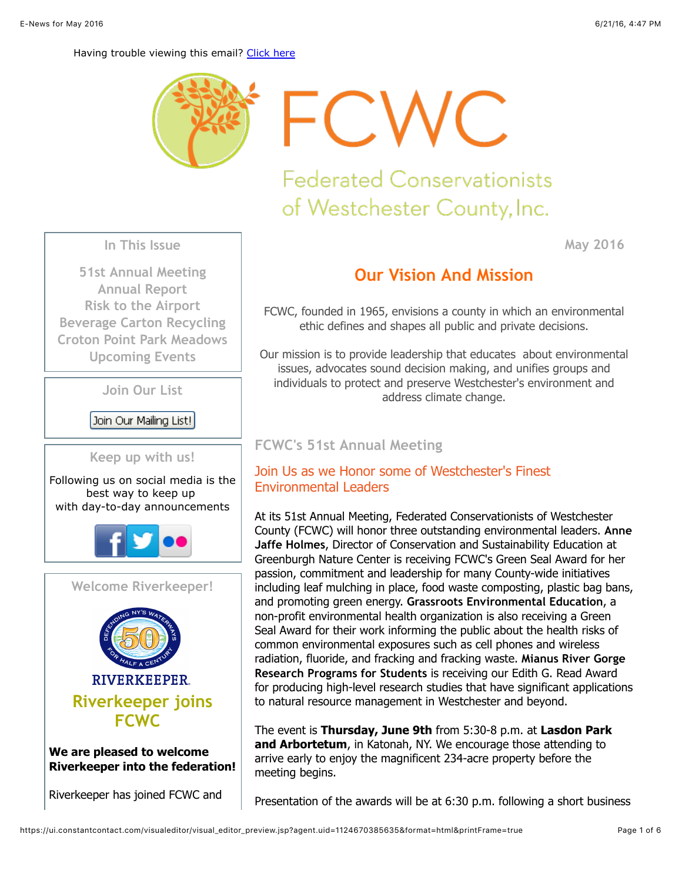**May 2016**

#### Having trouble viewing this email? [Click here](http://campaign.r20.constantcontact.com/render?ca=795d212f-a410-4314-99c9-99de83c7dc14&preview=true&m=1102238946291&id=preview)



FCWC

# **Federated Conservationists** of Westchester County, Inc.

**In This Issue**

**[51st Annual Meeting](https://ui.constantcontact.com/visualeditor/visual_editor_preview.jsp?agent.uid=1124670385635&format=html&printFrame=true#LETTER.BLOCK141) [Annual Report](https://ui.constantcontact.com/visualeditor/visual_editor_preview.jsp?agent.uid=1124670385635&format=html&printFrame=true#LETTER.BLOCK179) [Risk to the Airport](https://ui.constantcontact.com/visualeditor/visual_editor_preview.jsp?agent.uid=1124670385635&format=html&printFrame=true#LETTER.BLOCK181) [Beverage Carton Recycling](https://ui.constantcontact.com/visualeditor/visual_editor_preview.jsp?agent.uid=1124670385635&format=html&printFrame=true#LETTER.BLOCK149) [Croton Point Park Meadows](https://ui.constantcontact.com/visualeditor/visual_editor_preview.jsp?agent.uid=1124670385635&format=html&printFrame=true#LETTER.BLOCK180) [Upcoming Events](https://ui.constantcontact.com/visualeditor/visual_editor_preview.jsp?agent.uid=1124670385635&format=html&printFrame=true#LETTER.BLOCK72)**

**Join Our List**

Join Our Mailing List!



Following us on social media is the best way to keep up with day-to-day announcements





#### **We are pleased to welcome Riverkeeper into the federation!**

Riverkeeper has joined FCWC and

## **Our Vision And Mission**

FCWC, founded in 1965, envisions a county in which an environmental ethic defines and shapes all public and private decisions.

Our mission is to provide leadership that educates about environmental issues, advocates sound decision making, and unifies groups and individuals to protect and preserve Westchester's environment and address climate change.

## **FCWC's 51st Annual Meeting**

## Join Us as we Honor some of Westchester's Finest Environmental Leaders

At its 51st Annual Meeting, Federated Conservationists of Westchester County (FCWC) will honor three outstanding environmental leaders. **Anne Jaffe Holmes**, Director of Conservation and Sustainability Education at Greenburgh Nature Center is receiving FCWC's Green Seal Award for her passion, commitment and leadership for many County-wide initiatives including leaf mulching in place, food waste composting, plastic bag bans, and promoting green energy. **Grassroots Environmental Education**, a non-profit environmental health organization is also receiving a Green Seal Award for their work informing the public about the health risks of common environmental exposures such as cell phones and wireless radiation, fluoride, and fracking and fracking waste. **Mianus River Gorge Research Programs for Students** is receiving our Edith G. Read Award for producing high-level research studies that have significant applications to natural resource management in Westchester and beyond.

The event is **Thursday, June 9th** from 5:30-8 p.m. at **Lasdon Park and Arbortetum**, in Katonah, NY. We encourage those attending to arrive early to enjoy the magnificent 234-acre property before the meeting begins.

Presentation of the awards will be at 6:30 p.m. following a short business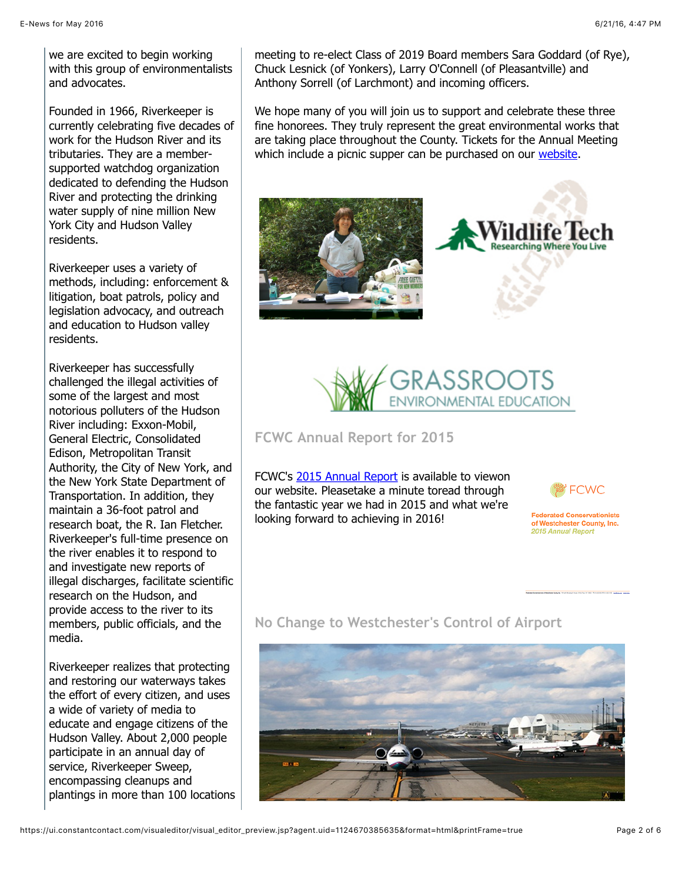we are excited to begin working with this group of environmentalists and advocates.

Founded in 1966, Riverkeeper is currently celebrating five decades of work for the Hudson River and its tributaries. They are a membersupported watchdog organization dedicated to defending the Hudson River and protecting the drinking water supply of nine million New York City and Hudson Valley residents.

Riverkeeper uses a variety of methods, including: enforcement & litigation, boat patrols, policy and legislation advocacy, and outreach and education to Hudson valley residents.

Riverkeeper has successfully challenged the illegal activities of some of the largest and most notorious polluters of the Hudson River including: Exxon-Mobil, General Electric, Consolidated Edison, Metropolitan Transit Authority, the City of New York, and the New York State Department of Transportation. In addition, they maintain a 36-foot patrol and research boat, the R. Ian Fletcher. Riverkeeper's full-time presence on the river enables it to respond to and investigate new reports of illegal discharges, facilitate scientific research on the Hudson, and provide access to the river to its members, public officials, and the media.

Riverkeeper realizes that protecting and restoring our waterways takes the effort of every citizen, and uses a wide of variety of media to educate and engage citizens of the Hudson Valley. About 2,000 people participate in an annual day of service, Riverkeeper Sweep, encompassing cleanups and plantings in more than 100 locations meeting to re-elect Class of 2019 Board members Sara Goddard (of Rye), Chuck Lesnick (of Yonkers), Larry O'Connell (of Pleasantville) and Anthony Sorrell (of Larchmont) and incoming officers.

We hope many of you will join us to support and celebrate these three fine honorees. They truly represent the great environmental works that are taking place throughout the County. Tickets for the Annual Meeting which include a picnic supper can be purchased on our [website.](http://www.fcwc.org/#!events/c1osy)







**FCWC Annual Report for 2015**

FCWC's [2015 Annual Report](http://media.wix.com/ugd/e1463a_504978a1805e4c2086fea9618aebe410.pdf) is available to viewon our website. Pleasetake a minute toread through the fantastic year we had in 2015 and what we're looking forward to achieving in 2016!



**Federated Conservationists** of Westchester County, Inc. 2015 Annual Report

## **No Change to Westchester's Control of Airport**

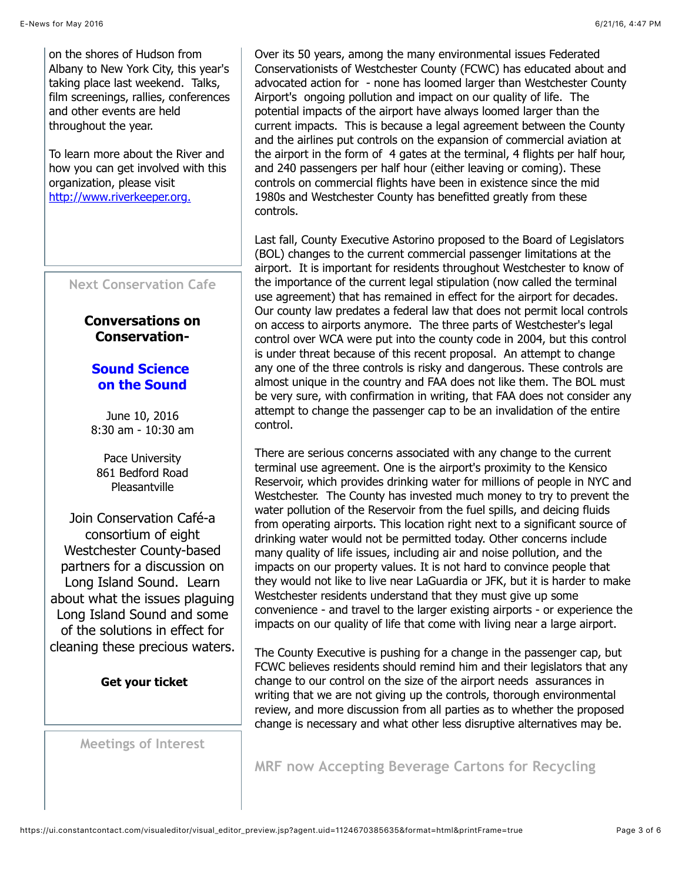To learn more about the River and how you can get involved with this organization, please visit [http://www.riverkeeper.org.](http://www.riverkeeper.org/)

## **Next Conservation Cafe**

## **Conversations on Conservation-**

## **Sound Science on the Sound**

June 10, 2016 8:30 am - 10:30 am

Pace University 861 Bedford Road Pleasantville

Join Conservation Café-a consortium of eight Westchester County-based partners for a discussion on Long Island Sound. Learn about what the issues plaguing Long Island Sound and some of the solutions in effect for cleaning these precious waters.

**[Get your ticket](https://www.eventbrite.com/e/sound-science-on-the-sound-tickets-25176567792)**

**Meetings of Interest**

Over its 50 years, among the many environmental issues Federated Conservationists of Westchester County (FCWC) has educated about and advocated action for - none has loomed larger than Westchester County Airport's ongoing pollution and impact on our quality of life. The potential impacts of the airport have always loomed larger than the current impacts. This is because a legal agreement between the County and the airlines put controls on the expansion of commercial aviation at the airport in the form of 4 gates at the terminal, 4 flights per half hour, and 240 passengers per half hour (either leaving or coming). These controls on commercial flights have been in existence since the mid 1980s and Westchester County has benefitted greatly from these controls.

Last fall, County Executive Astorino proposed to the Board of Legislators (BOL) changes to the current commercial passenger limitations at the airport. It is important for residents throughout Westchester to know of the importance of the current legal stipulation (now called the terminal use agreement) that has remained in effect for the airport for decades. Our county law predates a federal law that does not permit local controls on access to airports anymore. The three parts of Westchester's legal control over WCA were put into the county code in 2004, but this control is under threat because of this recent proposal. An attempt to change any one of the three controls is risky and dangerous. These controls are almost unique in the country and FAA does not like them. The BOL must be very sure, with confirmation in writing, that FAA does not consider any attempt to change the passenger cap to be an invalidation of the entire control.

There are serious concerns associated with any change to the current terminal use agreement. One is the airport's proximity to the Kensico Reservoir, which provides drinking water for millions of people in NYC and Westchester. The County has invested much money to try to prevent the water pollution of the Reservoir from the fuel spills, and deicing fluids from operating airports. This location right next to a significant source of drinking water would not be permitted today. Other concerns include many quality of life issues, including air and noise pollution, and the impacts on our property values. It is not hard to convince people that they would not like to live near LaGuardia or JFK, but it is harder to make Westchester residents understand that they must give up some convenience - and travel to the larger existing airports - or experience the impacts on our quality of life that come with living near a large airport.

The County Executive is pushing for a change in the passenger cap, but FCWC believes residents should remind him and their legislators that any change to our control on the size of the airport needs assurances in writing that we are not giving up the controls, thorough environmental review, and more discussion from all parties as to whether the proposed change is necessary and what other less disruptive alternatives may be.

**MRF now Accepting Beverage Cartons for Recycling**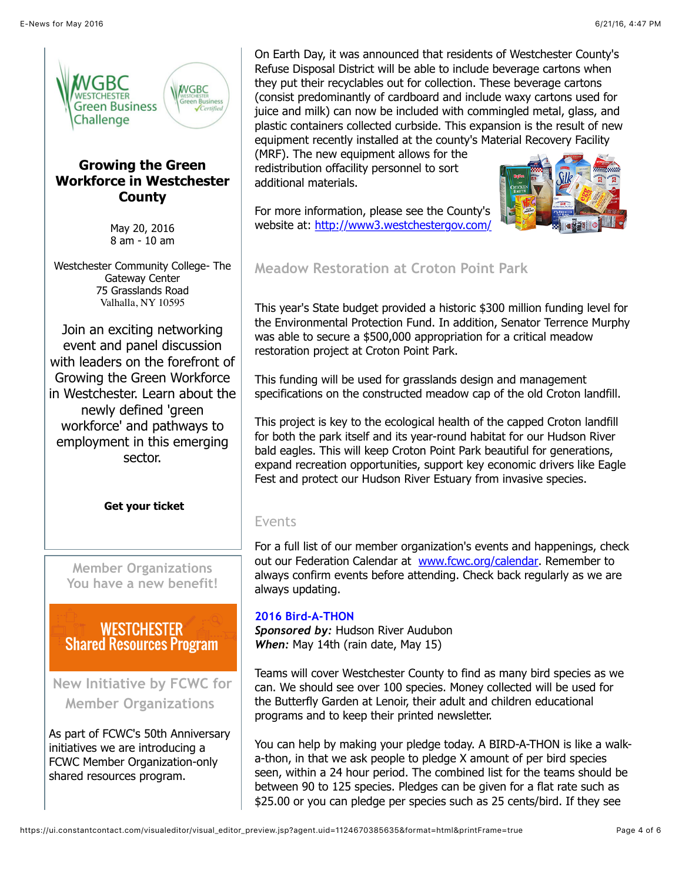

## **Growing the Green Workforce in Westchester County**

May 20, 2016 8 am - 10 am

Westchester Community College- The Gateway Center 75 Grasslands Road Valhalla, NY 10595

Join an exciting networking event and panel discussion with leaders on the forefront of Growing the Green Workforce in Westchester. Learn about the newly defined 'green workforce' and pathways to employment in this emerging sector.

**[Get your ticket](https://www.eventbrite.com/e/wgbc-leaders-in-sustainability-speaker-series-growing-the-green-workforce-in-westchester-county-tickets-24706378443?ref=enivte001&invite=MTAxNjYyMzEvYWxpY2lhLmIubW9sbG95QGdtYWlsLmNvbS8w&utm_source=eb_email&utm_medium=email&utm_campaign=invitemodernv2&ref=enivte001&utm_term=attend)**

**Member Organizations You have a new benefit!**

**WESTCHESTER Shared Resources Program** 

**New Initiative by FCWC for Member Organizations**

As part of FCWC's 50th Anniversary initiatives we are introducing a FCWC Member Organization-only shared resources program.

On Earth Day, it was announced that residents of Westchester County's Refuse Disposal District will be able to include beverage cartons when they put their recyclables out for collection. These beverage cartons (consist predominantly of cardboard and include waxy cartons used for juice and milk) can now be included with commingled metal, glass, and plastic containers collected curbside. This expansion is the result of new equipment recently installed at the county's Material Recovery Facility

(MRF). The new equipment allows for the redistribution offacility personnel to sort additional materials.

For more information, please see the County's website at:<http://www3.westchestergov.com/>



**Meadow Restoration at Croton Point Park**

This year's State budget provided a historic \$300 million funding level for the Environmental Protection Fund. In addition, Senator Terrence Murphy was able to secure a \$500,000 appropriation for a critical meadow restoration project at Croton Point Park.

This funding will be used for grasslands design and management specifications on the constructed meadow cap of the old Croton landfill.

This project is key to the ecological health of the capped Croton landfill for both the park itself and its year-round habitat for our Hudson River bald eagles. This will keep Croton Point Park beautiful for generations, expand recreation opportunities, support key economic drivers like Eagle Fest and protect our Hudson River Estuary from invasive species.

## Events

For a full list of our member organization's events and happenings, check out our Federation Calendar at [www.fcwc.org/calendar.](http://www.fcwc.org/#!calendar/czy8) Remember to always confirm events before attending. Check back regularly as we are always updating.

## **2016 Bird-A-THON**

*Sponsored by:* Hudson River Audubon *When:* May 14th (rain date, May 15)

Teams will cover Westchester County to find as many bird species as we can. We should see over 100 species. Money collected will be used for the Butterfly Garden at Lenoir, their adult and children educational programs and to keep their printed newsletter.

You can help by making your pledge today. A BIRD-A-THON is like a walka-thon, in that we ask people to pledge X amount of per bird species seen, within a 24 hour period. The combined list for the teams should be between 90 to 125 species. Pledges can be given for a flat rate such as \$25.00 or you can pledge per species such as 25 cents/bird. If they see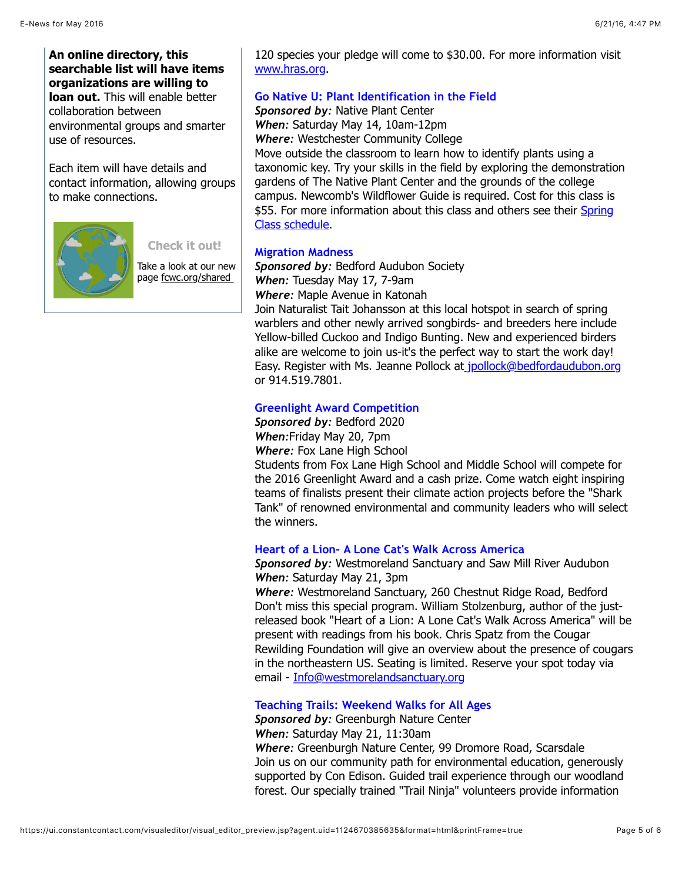## **An online directory, this searchable list will have items organizations are willing to loan out.** This will enable better collaboration between environmental groups and smarter use of resources.

Each item will have details and contact information, allowing groups to make connections.



**[Check it out!](http://www.fcwc.org/#!share/c13g3)**

Take a look at our new page fcwc.org/shared

120 species your pledge will come to \$30.00. For more information visit [www.hras.org](http://www.hras.org/).

#### **Go Native U: Plant Identification in the Field**

*Sponsored by:* Native Plant Center *When:* Saturday May 14, 10am-12pm *Where:* Westchester Community College Move outside the classroom to learn how to identify plants using a taxonomic key. Try your skills in the field by exploring the demonstration gardens of The Native Plant Center and the grounds of the college campus. Newcomb's Wildflower Guide is required. Cost for this class is [\\$55. For more information about this class and others see their Spring](http://www.sunywcc.edu/cms/wp-content/uploads/2012/09/gonativeuSPRING-2016.pdf) Class schedule.

#### **Migration Madness**

*Sponsored by:* Bedford Audubon Society *When:* Tuesday May 17, 7-9am *Where:* Maple Avenue in Katonah Join Naturalist Tait Johansson at this local hotspot in search of spring warblers and other newly arrived songbirds- and breeders here include Yellow-billed Cuckoo and Indigo Bunting. New and experienced birders alike are welcome to join us-it's the perfect way to start the work day! Easy. Register with Ms. Jeanne Pollock a[t jpollock@bedfordaudubon.org](mailto:jpollock@bedfordaudubon.org) or 914.519.7801.

## **Greenlight Award Competition**

*Sponsored by:* Bedford 2020

*When:*Friday May 20, 7pm

*Where:* Fox Lane High School

Students from Fox Lane High School and Middle School will compete for the 2016 Greenlight Award and a cash prize. Come watch eight inspiring teams of finalists present their climate action projects before the "Shark Tank" of renowned environmental and community leaders who will select the winners.

## **Heart of a Lion- A Lone Cat's Walk Across America**

## *Sponsored by:* Westmoreland Sanctuary and Saw Mill River Audubon *When:* Saturday May 21, 3pm

*Where:* Westmoreland Sanctuary, 260 Chestnut Ridge Road, Bedford Don't miss this special program. William Stolzenburg, author of the justreleased book "Heart of a Lion: A Lone Cat's Walk Across America" will be present with readings from his book. Chris Spatz from the Cougar Rewilding Foundation will give an overview about the presence of cougars in the northeastern US. Seating is limited. Reserve your spot today via email - [Info@westmorelandsanctuary.org](mailto:Info@westmorelandsanctuary.org)

#### **Teaching Trails: Weekend Walks for All Ages**

*Sponsored by:* Greenburgh Nature Center *When:* Saturday May 21, 11:30am *Where:* Greenburgh Nature Center, 99 Dromore Road, Scarsdale Join us on our community path for environmental education, generously supported by Con Edison. Guided trail experience through our woodland forest. Our specially trained "Trail Ninja" volunteers provide information